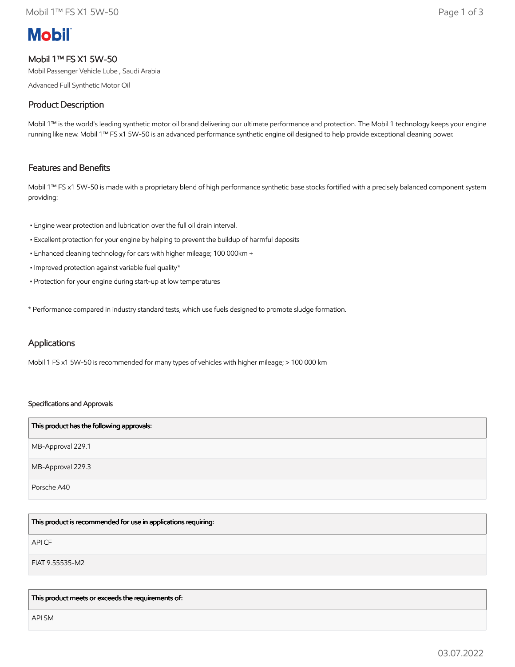# **Mobil**

# Mobil 1™ FS X1 5W-50

Mobil Passenger Vehicle Lube , Saudi Arabia

Advanced Full Synthetic Motor Oil

## Product Description

Mobil 1™ is the world's leading synthetic motor oil brand delivering our ultimate performance and protection. The Mobil 1 technology keeps your engine running like new. Mobil 1™ FS x1 5W-50 is an advanced performance synthetic engine oil designed to help provide exceptional cleaning power.

# Features and Benefits

Mobil 1™ FS x1 5W-50 is made with a proprietary blend of high performance synthetic base stocks fortified with a precisely balanced component system providing:

- Engine wear protection and lubrication over the full oil drain interval.
- Excellent protection for your engine by helping to prevent the buildup of harmful deposits
- Enhanced cleaning technology for cars with higher mileage; 100 000km +
- Improved protection against variable fuel quality\*
- Protection for your engine during start-up at low temperatures

\* Performance compared in industry standard tests, which use fuels designed to promote sludge formation.

## Applications

Mobil 1 FS x1 5W-50 is recommended for many types of vehicles with higher mileage; > 100 000 km

#### Specifications and Approvals

| This product has the following approvals: |
|-------------------------------------------|
| MB-Approval 229.1                         |
| MB-Approval 229.3                         |
| Porsche A40                               |

This product is recommended for use in applications requiring:

API CF

FIAT 9.55535-M2

This product meets or exceeds the requirements of:

API SM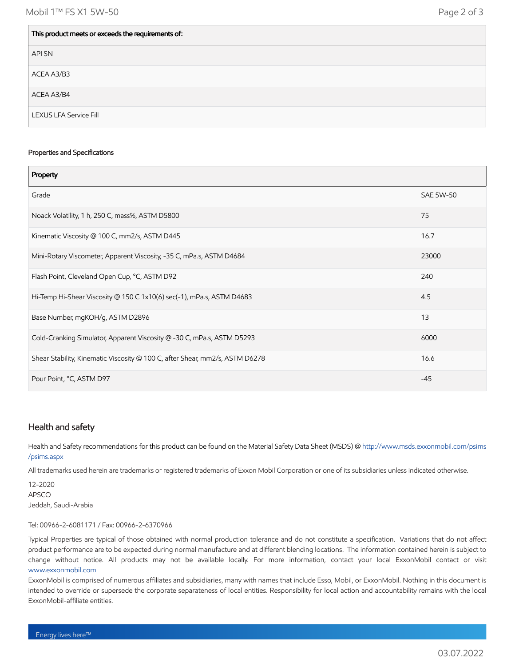| This product meets or exceeds the requirements of: |
|----------------------------------------------------|
| API SN                                             |
| ACEA A3/B3                                         |
| ACEA A3/B4                                         |
| <b>LEXUS LFA Service Fill</b>                      |

#### Properties and Specifications

| Property                                                                     |                  |
|------------------------------------------------------------------------------|------------------|
| Grade                                                                        | <b>SAE 5W-50</b> |
| Noack Volatility, 1 h, 250 C, mass%, ASTM D5800                              | 75               |
| Kinematic Viscosity @ 100 C, mm2/s, ASTM D445                                | 16.7             |
| Mini-Rotary Viscometer, Apparent Viscosity, -35 C, mPa.s, ASTM D4684         | 23000            |
| Flash Point, Cleveland Open Cup, °C, ASTM D92                                | 240              |
| Hi-Temp Hi-Shear Viscosity @ 150 C 1x10(6) sec(-1), mPa.s, ASTM D4683        | 4.5              |
| Base Number, mgKOH/g, ASTM D2896                                             | 13               |
| Cold-Cranking Simulator, Apparent Viscosity @ -30 C, mPa.s, ASTM D5293       | 6000             |
| Shear Stability, Kinematic Viscosity @ 100 C, after Shear, mm2/s, ASTM D6278 | 16.6             |
| Pour Point, °C, ASTM D97                                                     | $-45$            |

## Health and safety

Health and Safety recommendations for this product can be found on the Material Safety Data Sheet (MSDS) @ [http://www.msds.exxonmobil.com/psims](http://www.msds.exxonmobil.com/psims/psims.aspx) /psims.aspx

All trademarks used herein are trademarks or registered trademarks of Exxon Mobil Corporation or one of its subsidiaries unless indicated otherwise.

12-2020 APSCO Jeddah, Saudi-Arabia

#### Tel: 00966-2-6081171 / Fax: 00966-2-6370966

Typical Properties are typical of those obtained with normal production tolerance and do not constitute a specification. Variations that do not affect product performance are to be expected during normal manufacture and at different blending locations. The information contained herein is subject to change without notice. All products may not be available locally. For more information, contact your local ExxonMobil contact or visit [www.exxonmobil.com](http://www.exxonmobil.com/)

ExxonMobil is comprised of numerous affiliates and subsidiaries, many with names that include Esso, Mobil, or ExxonMobil. Nothing in this document is intended to override or supersede the corporate separateness of local entities. Responsibility for local action and accountability remains with the local ExxonMobil-affiliate entities.